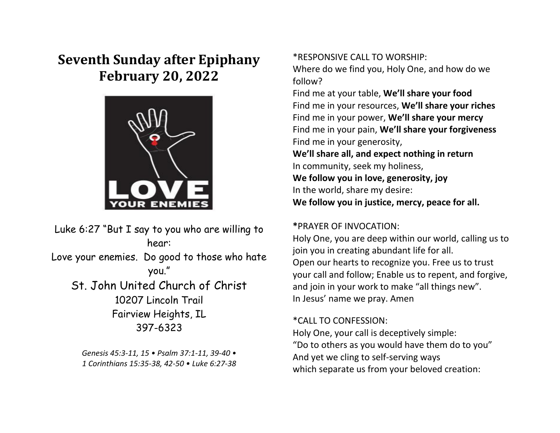# **Seventh Sunday after Epiphany February 20, 2022**



Luke 6:27 "But I say to you who are willing to hear: Love your enemies. Do good to those who hate you." St. John United Church of Christ 10207 Lincoln Trail Fairview Heights, IL 397-6323

> *Genesis 45:3-11, 15 • Psalm 37:1-11, 39-40 • 1 Corinthians 15:35-38, 42-50 • Luke 6:27-38*

\*RESPONSIVE CALL TO WORSHIP:

Where do we find you, Holy One, and how do we follow?

Find me at your table, **We'll share your food** Find me in your resources, **We'll share your riches** Find me in your power, **We'll share your mercy** Find me in your pain, **We'll share your forgiveness** Find me in your generosity,

**We'll share all, and expect nothing in return** In community, seek my holiness, **We follow you in love, generosity, joy** In the world, share my desire: **We follow you in justice, mercy, peace for all.**

### **\***PRAYER OF INVOCATION:

Holy One, you are deep within our world, calling us to join you in creating abundant life for all. Open our hearts to recognize you. Free us to trust your call and follow; Enable us to repent, and forgive, and join in your work to make "all things new". In Jesus' name we pray. Amen

### \*CALL TO CONFESSION:

Holy One, your call is deceptively simple: "Do to others as you would have them do to you" And yet we cling to self-serving ways which separate us from your beloved creation: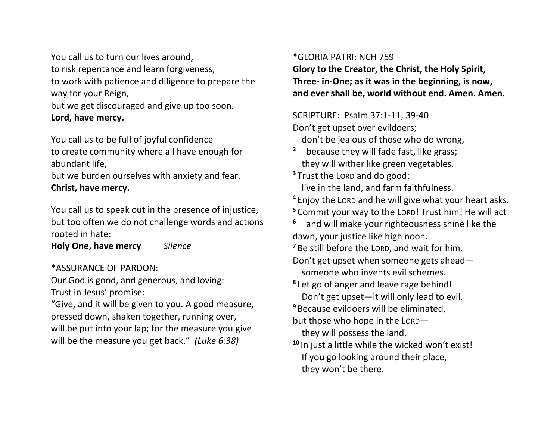You call us to turn our lives around, to risk repentance and learn forgiveness, to work with patience and diligence to prepare the way for your Reign,

but we get discouraged and give up too soon. **Lord, have mercy.**

You call us to be full of joyful confidence to create community where all have enough for abundant life,

but we burden ourselves with anxiety and fear. **Christ, have mercy.**

You call us to speak out in the presence of injustice, but too often we do not challenge words and actions rooted in hate:

**Holy One, have mercy** *Silence* 

\*ASSURANCE OF PARDON:

Our God is good, and generous, and loving: Trust in Jesus' promise:

"Give, and it will be given to you. A good measure, pressed down, shaken together, running over, will be put into your lap; for the measure you give will be the measure you get back." *(Luke 6:38)*

## \*GLORIA PATRI: NCH 759

they won't be there.

**Glory to the Creator, the Christ, the Holy Spirit, Three- in-One; as it was in the beginning, is now, and ever shall be, world without end. Amen. Amen.**

SCRIPTURE: Psalm 37:1-11, 39-40 Don't get upset over evildoers; don't be jealous of those who do wrong, **2** because they will fade fast, like grass; they will wither like green vegetables. **<sup>3</sup>** Trust the LORD and do good; live in the land, and farm faithfulness. **<sup>4</sup>** Enjoy the LORD and he will give what your heart asks. **<sup>5</sup>** Commit your way to the LORD! Trust him! He will act **6** and will make your righteousness shine like the dawn, your justice like high noon. **<sup>7</sup>** Be still before the LORD, and wait for him. Don't get upset when someone gets ahead someone who invents evil schemes. **8** Let go of anger and leave rage behind! Don't get upset—it will only lead to evil. **<sup>9</sup>** Because evildoers will be eliminated, but those who hope in the LORD they will possess the land. **<sup>10</sup>** In just a little while the wicked won't exist! If you go looking around their place,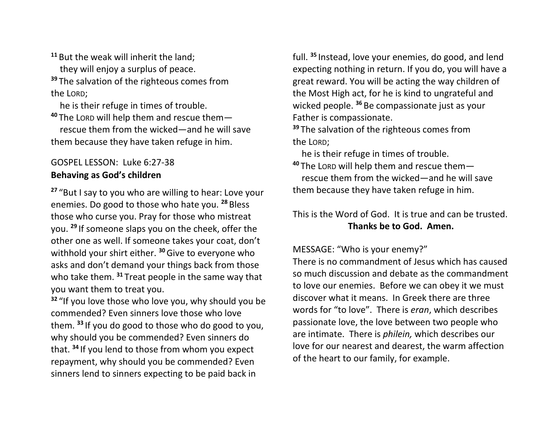**<sup>11</sup>** But the weak will inherit the land; they will enjoy a surplus of peace. **<sup>39</sup>** The salvation of the righteous comes from the LORD;

he is their refuge in times of trouble.

**<sup>40</sup>** The LORD will help them and rescue them rescue them from the wicked—and he will save them because they have taken refuge in him.

# GOSPEL LESSON: Luke 6:27-38 **Behaving as God's children**

**<sup>27</sup>** "But I say to you who are willing to hear: Love your enemies. Do good to those who hate you. **<sup>28</sup>** Bless those who curse you. Pray for those who mistreat you. **<sup>29</sup>** If someone slaps you on the cheek, offer the other one as well. If someone takes your coat, don't withhold your shirt either. **<sup>30</sup>**Give to everyone who asks and don't demand your things back from those who take them. **<sup>31</sup>** Treat people in the same way that you want them to treat you.

**<sup>32</sup>** "If you love those who love you, why should you be commended? Even sinners love those who love them. **<sup>33</sup>** If you do good to those who do good to you, why should you be commended? Even sinners do that. **<sup>34</sup>** If you lend to those from whom you expect repayment, why should you be commended? Even sinners lend to sinners expecting to be paid back in

full. **<sup>35</sup>** Instead, love your enemies, do good, and lend expecting nothing in return. If you do, you will have a great reward. You will be acting the way children of the Most High act, for he is kind to ungrateful and wicked people. **<sup>36</sup>** Be compassionate just as your Father is compassionate.

**<sup>39</sup>** The salvation of the righteous comes from the LORD;

he is their refuge in times of trouble.

**<sup>40</sup>** The LORD will help them and rescue them rescue them from the wicked—and he will save them because they have taken refuge in him.

# This is the Word of God. It is true and can be trusted. **Thanks be to God. Amen.**

MESSAGE: "Who is your enemy?"

There is no commandment of Jesus which has caused so much discussion and debate as the commandment to love our enemies. Before we can obey it we must discover what it means. In Greek there are three words for "to love". There is *eran*, which describes passionate love, the love between two people who are intimate. There is *philein,* which describes our love for our nearest and dearest, the warm affection of the heart to our family, for example.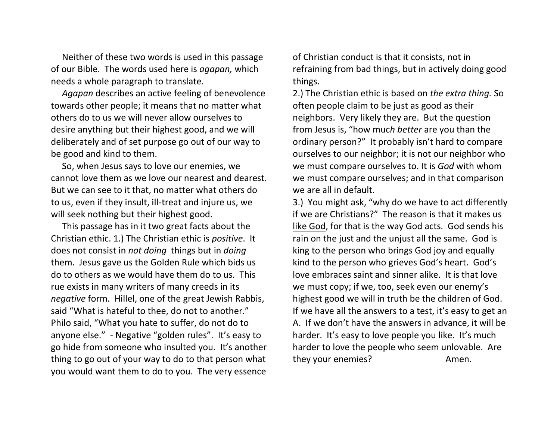Neither of these two words is used in this passage of our Bible. The words used here is *agapan,* which needs a whole paragraph to translate.

 *Agapan* describes an active feeling of benevolence towards other people; it means that no matter what others do to us we will never allow ourselves to desire anything but their highest good, and we will deliberately and of set purpose go out of our way to be good and kind to them.

 So, when Jesus says to love our enemies, we cannot love them as we love our nearest and dearest. But we can see to it that, no matter what others do to us, even if they insult, ill-treat and injure us, we will seek nothing but their highest good.

 This passage has in it two great facts about the Christian ethic. 1.) The Christian ethic is *positive*. It does not consist in *not doing* things but in *doing* them. Jesus gave us the Golden Rule which bids us do to others as we would have them do to us. This rue exists in many writers of many creeds in its *negative* form. Hillel, one of the great Jewish Rabbis, said "What is hateful to thee, do not to another." Philo said, "What you hate to suffer, do not do to anyone else." - Negative "golden rules". It's easy to go hide from someone who insulted you. It's another thing to go out of your way to do to that person what you would want them to do to you. The very essence

of Christian conduct is that it consists, not in refraining from bad things, but in actively doing good things.

2.) The Christian ethic is based on *the extra thing.* So often people claim to be just as good as their neighbors. Very likely they are. But the question from Jesus is, "how muc*h better* are you than the ordinary person?" It probably isn't hard to compare ourselves to our neighbor; it is not our neighbor who we must compare ourselves to. It is *God* with whom we must compare ourselves; and in that comparison we are all in default.

3.) You might ask, "why do we have to act differently if we are Christians?" The reason is that it makes us like God, for that is the way God acts. God sends his rain on the just and the unjust all the same. God is king to the person who brings God joy and equally kind to the person who grieves God's heart. God's love embraces saint and sinner alike. It is that love we must copy; if we, too, seek even our enemy's highest good we will in truth be the children of God. If we have all the answers to a test, it's easy to get an A. If we don't have the answers in advance, it will be harder. It's easy to love people you like. It's much harder to love the people who seem unlovable. Are they your enemies? Amen.